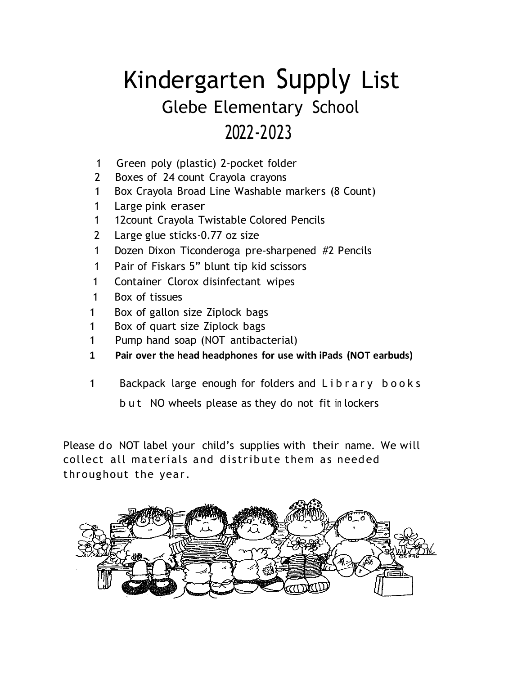# Kindergarten Supply List Glebe Elementary School 2022-2023

- 1 Green poly (plastic) 2-pocket folder
- 2 Boxes of 24 count Crayola crayons
- 1 Box Crayola Broad Line Washable markers (8 Count)
- 1 Large pink eraser
- 1 12count Crayola Twistable Colored Pencils
- 2 Large glue sticks-0.77 oz size
- 1 Dozen Dixon Ticonderoga pre-sharpened #2 Pencils
- 1 Pair of Fiskars 5" blunt tip kid scissors
- 1 Container Clorox disinfectant wipes
- 1 Box of tissues
- 1 Box of gallon size Ziplock bags
- 1 Box of quart size Ziplock bags
- 1 Pump hand soap (NOT antibacterial)
- **1 Pair over the head headphones for use with iPads (NOT earbuds)**
- 1 Backpack large enough for folders and L i b r a r y b o o k s

b u t NO wheels please as they do not fit in lockers

Please do NOT label your child's supplies with their name. We will collect all materials and distribute them as needed throughout the year.

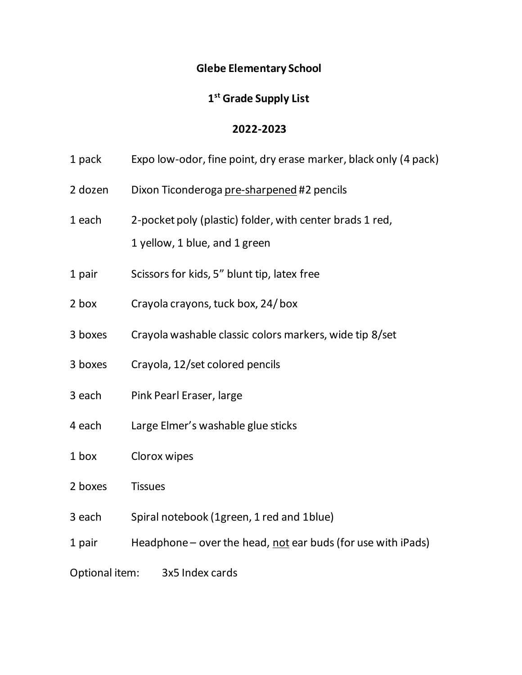### **Glebe Elementary School**

## **1 st Grade Supply List**

#### **2022-2023**

- 1 pack Expo low-odor, fine point, dry erase marker, black only (4 pack)
- 2 dozen Dixon Ticonderoga pre-sharpened #2 pencils
- 1 each 2-pocket poly (plastic) folder, with center brads 1 red, 1 yellow, 1 blue, and 1 green
- 1 pair Scissors for kids, 5" blunt tip, latex free
- 2 box Crayola crayons, tuck box, 24/ box
- 3 boxes Crayola washable classic colors markers, wide tip 8/set
- 3 boxes Crayola, 12/set colored pencils
- 3 each Pink Pearl Eraser, large
- 4 each Large Elmer's washable glue sticks
- 1 box Clorox wipes
- 2 boxes Tissues
- 3 each Spiral notebook (1green, 1 red and 1blue)
- 1 pair Headphone over the head, not ear buds (for use with iPads)
- Optional item: 3x5 Index cards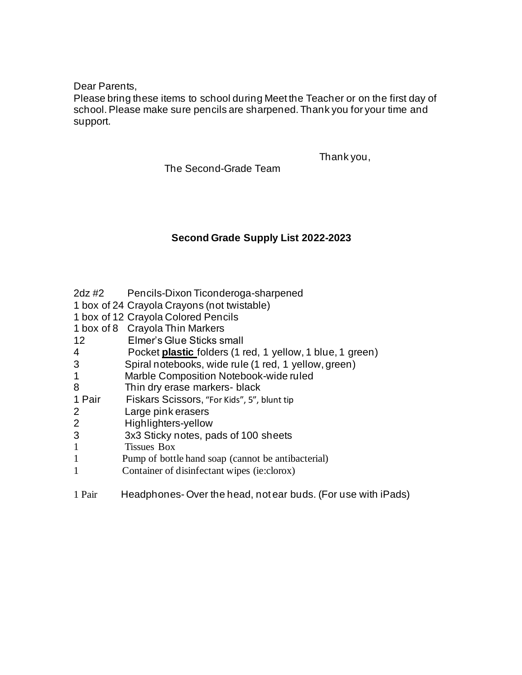Dear Parents,

Please bring these items to school during Meet the Teacher or on the first day of school. Please make sure pencils are sharpened. Thank you for your time and support.

Thank you,

The Second-Grade Team

#### **Second Grade Supply List 2022-2023**

| $2dz$ #2 | Pencils-Dixon Ticonderoga-sharpened |  |
|----------|-------------------------------------|--|
|          |                                     |  |

- 1 box of 24 Crayola Crayons (not twistable)
- 1 box of 12 Crayola Colored Pencils
- 1 box of 8 Crayola Thin Markers
- 12 Elmer's Glue Sticks small
- 4 Pocket **plastic** folders (1 red, 1 yellow, 1 blue, 1 green)
- 3 Spiral notebooks, wide rule (1 red, 1 yellow, green)
- 1 Marble Composition Notebook-wide ruled
- 8 Thin dry erase markers- black
- 1 Pair Fiskars Scissors, "For Kids", 5", blunt tip
- 2 Large pink erasers
- 2 Highlighters-yellow
- 3 3x3 Sticky notes, pads of 100 sheets
- 1 Tissues Box
- 1 Pump of bottle hand soap (cannot be antibacterial)
- 1 Container of disinfectant wipes (ie:clorox)
- 1 Pair Headphones- Over the head, not ear buds. (For use with iPads)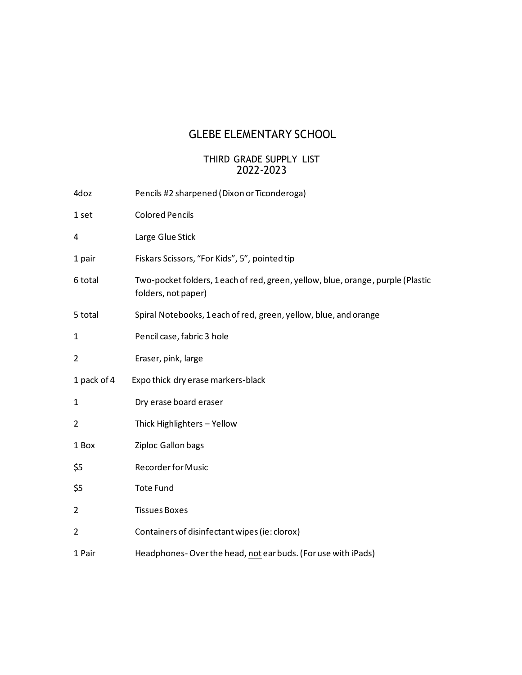# GLEBE ELEMENTARY SCHOOL

#### THIRD GRADE SUPPLY LIST 2022-2023

| 4doz           | Pencils #2 sharpened (Dixon or Ticonderoga)                                                           |
|----------------|-------------------------------------------------------------------------------------------------------|
| 1 set          | <b>Colored Pencils</b>                                                                                |
| 4              | Large Glue Stick                                                                                      |
| 1 pair         | Fiskars Scissors, "For Kids", 5", pointed tip                                                         |
| 6 total        | Two-pocket folders, 1each of red, green, yellow, blue, orange, purple (Plastic<br>folders, not paper) |
| 5 total        | Spiral Notebooks, 1each of red, green, yellow, blue, and orange                                       |
| 1              | Pencil case, fabric 3 hole                                                                            |
| 2              | Eraser, pink, large                                                                                   |
| 1 pack of 4    | Expothick dry erase markers-black                                                                     |
| $\mathbf{1}$   | Dry erase board eraser                                                                                |
| $\overline{2}$ | Thick Highlighters - Yellow                                                                           |
| 1 Box          | Ziploc Gallon bags                                                                                    |
| \$5            | <b>Recorder for Music</b>                                                                             |
| \$5            | <b>Tote Fund</b>                                                                                      |
| 2              | <b>Tissues Boxes</b>                                                                                  |
| $\overline{2}$ | Containers of disinfectant wipes (ie: clorox)                                                         |
| 1 Pair         | Headphones-Over the head, not ear buds. (For use with iPads)                                          |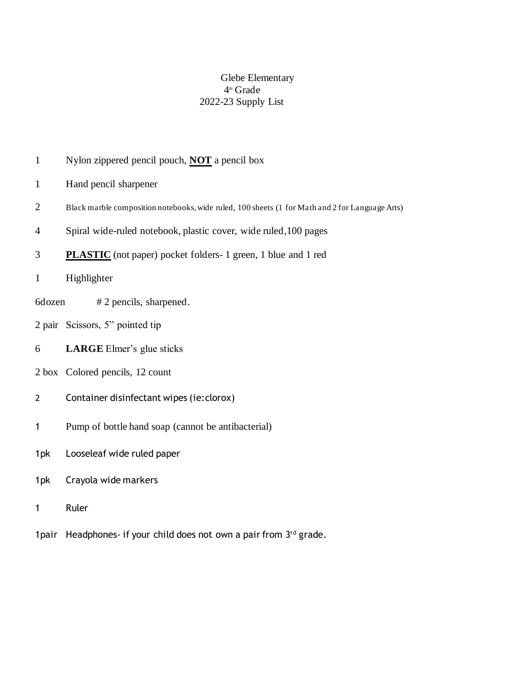#### Glebe Elementary th Grade 2022-23 Supply List

- Nylon zippered pencil pouch, **NOT** a pencil box
- Hand pencil sharpener
- Black marble composition notebooks, wide ruled, 100 sheets (1 for Math and 2 for Language Arts)
- Spiral wide-ruled notebook, plastic cover, wide ruled,100 pages
- **PLASTIC** (not paper) pocket folders- 1 green, 1 blue and 1 red
- Highlighter
- 6dozen # 2 pencils, sharpened.
- pair Scissors, 5" pointed tip
- **LARGE** Elmer's glue sticks
- box Colored pencils, 12 count
- Container disinfectant wipes (ie:clorox)
- Pump of bottle hand soap (cannot be antibacterial)
- 1pk Looseleaf wide ruled paper
- 1pk Crayola wide markers
- Ruler
- 1 pair Headphones- if your child does not own a pair from 3rd grade.